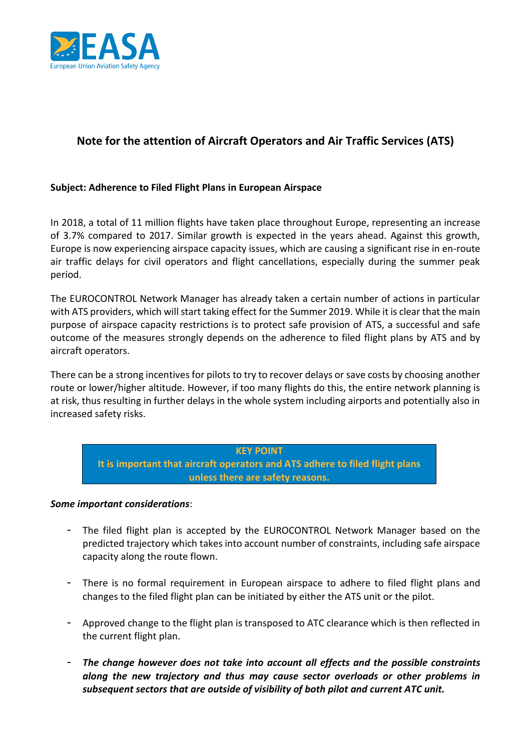

# **Note for the attention of Aircraft Operators and Air Traffic Services (ATS)**

### **Subject: Adherence to Filed Flight Plans in European Airspace**

In 2018, a total of 11 million flights have taken place throughout Europe, representing an increase of 3.7% compared to 2017. Similar growth is expected in the years ahead. Against this growth, Europe is now experiencing airspace capacity issues, which are causing a significant rise in en-route air traffic delays for civil operators and flight cancellations, especially during the summer peak period.

The EUROCONTROL Network Manager has already taken a certain number of actions in particular with ATS providers, which will start taking effect for the Summer 2019. While it is clear that the main purpose of airspace capacity restrictions is to protect safe provision of ATS, a successful and safe outcome of the measures strongly depends on the adherence to filed flight plans by ATS and by aircraft operators.

There can be a strong incentives for pilots to try to recover delays or save costs by choosing another route or lower/higher altitude. However, if too many flights do this, the entire network planning is at risk, thus resulting in further delays in the whole system including airports and potentially also in increased safety risks.

#### **KEY POINT**

**It is important that aircraft operators and ATS adhere to filed flight plans unless there are safety reasons.**

### *Some important considerations*:

- The filed flight plan is accepted by the EUROCONTROL Network Manager based on the predicted trajectory which takes into account number of constraints, including safe airspace capacity along the route flown.
- There is no formal requirement in European airspace to adhere to filed flight plans and changes to the filed flight plan can be initiated by either the ATS unit or the pilot.
- Approved change to the flight plan is transposed to ATC clearance which is then reflected in the current flight plan.
- *The change however does not take into account all effects and the possible constraints along the new trajectory and thus may cause sector overloads or other problems in subsequent sectors that are outside of visibility of both pilot and current ATC unit.*